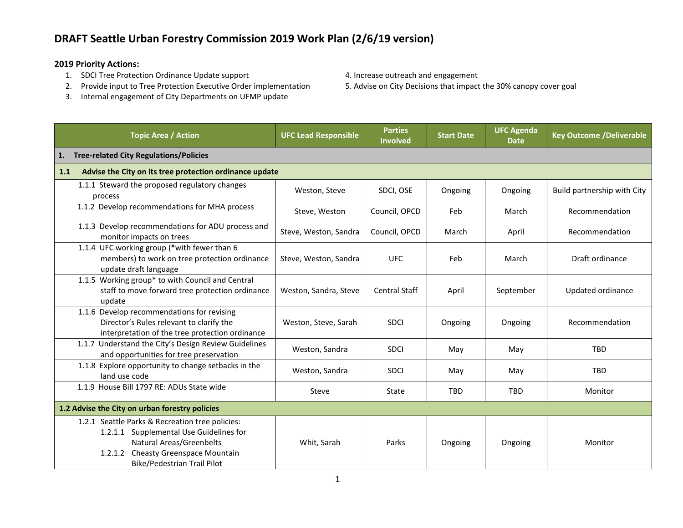### **2019 Priority Actions:**

- 
- 1. SDCI Tree Protection Ordinance Update support 4. Increase outreach and engagement<br>2. Provide input to Tree Protection Executive Order implementation 5. Advise on City Decisions that impact the 30% canopy cover goal 2. Provide input to Tree Protection Executive Order implementation
- 3. Internal engagement of City Departments on UFMP update
- 
- 

| <b>Topic Area / Action</b>                                                                                                                                                                          | <b>UFC Lead Responsible</b> | <b>Parties</b><br><b>Involved</b> | <b>Start Date</b> | <b>UFC Agenda</b><br><b>Date</b> | <b>Key Outcome /Deliverable</b> |  |
|-----------------------------------------------------------------------------------------------------------------------------------------------------------------------------------------------------|-----------------------------|-----------------------------------|-------------------|----------------------------------|---------------------------------|--|
| <b>Tree-related City Regulations/Policies</b><br>1.                                                                                                                                                 |                             |                                   |                   |                                  |                                 |  |
| Advise the City on its tree protection ordinance update<br>1.1                                                                                                                                      |                             |                                   |                   |                                  |                                 |  |
| 1.1.1 Steward the proposed regulatory changes<br>process                                                                                                                                            | Weston, Steve               | SDCI, OSE                         | Ongoing           | Ongoing                          | Build partnership with City     |  |
| 1.1.2 Develop recommendations for MHA process                                                                                                                                                       | Steve, Weston               | Council, OPCD                     | Feb               | March                            | Recommendation                  |  |
| 1.1.3 Develop recommendations for ADU process and<br>monitor impacts on trees                                                                                                                       | Steve, Weston, Sandra       | Council, OPCD                     | March             | April                            | Recommendation                  |  |
| 1.1.4 UFC working group (*with fewer than 6<br>members) to work on tree protection ordinance<br>update draft language                                                                               | Steve, Weston, Sandra       | <b>UFC</b>                        | Feb               | March                            | Draft ordinance                 |  |
| 1.1.5 Working group* to with Council and Central<br>staff to move forward tree protection ordinance<br>update                                                                                       | Weston, Sandra, Steve       | <b>Central Staff</b>              | April             | September                        | Updated ordinance               |  |
| 1.1.6 Develop recommendations for revising<br>Director's Rules relevant to clarify the<br>interpretation of the tree protection ordinance                                                           | Weston, Steve, Sarah        | <b>SDCI</b>                       | Ongoing           | Ongoing                          | Recommendation                  |  |
| 1.1.7 Understand the City's Design Review Guidelines<br>and opportunities for tree preservation                                                                                                     | Weston, Sandra              | <b>SDCI</b>                       | May               | May                              | <b>TBD</b>                      |  |
| 1.1.8 Explore opportunity to change setbacks in the<br>land use code                                                                                                                                | Weston, Sandra              | <b>SDCI</b>                       | May               | May                              | <b>TBD</b>                      |  |
| 1.1.9 House Bill 1797 RE: ADUs State wide                                                                                                                                                           | Steve                       | State                             | <b>TBD</b>        | <b>TBD</b>                       | Monitor                         |  |
| 1.2 Advise the City on urban forestry policies                                                                                                                                                      |                             |                                   |                   |                                  |                                 |  |
| 1.2.1 Seattle Parks & Recreation tree policies:<br>1.2.1.1 Supplemental Use Guidelines for<br><b>Natural Areas/Greenbelts</b><br>1.2.1.2 Cheasty Greenspace Mountain<br>Bike/Pedestrian Trail Pilot | Whit, Sarah                 | Parks                             | Ongoing           | Ongoing                          | Monitor                         |  |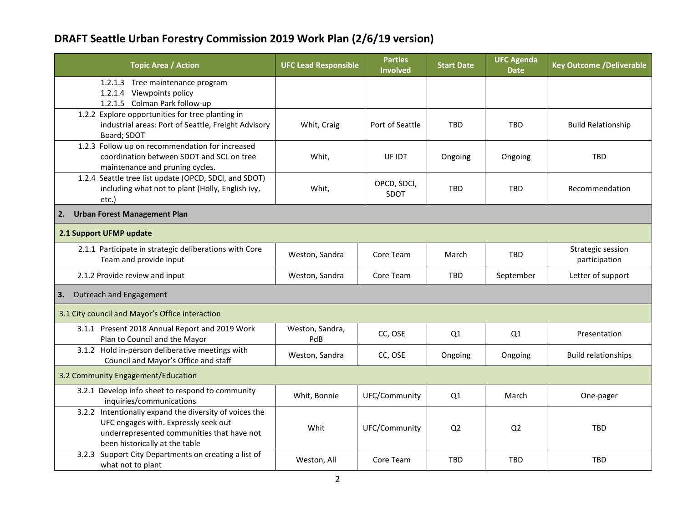| <b>Topic Area / Action</b>                                                                                                                                                     | <b>UFC Lead Responsible</b> | <b>Parties</b><br>Involved | <b>Start Date</b> | <b>UFC Agenda</b><br><b>Date</b> | <b>Key Outcome /Deliverable</b>    |  |
|--------------------------------------------------------------------------------------------------------------------------------------------------------------------------------|-----------------------------|----------------------------|-------------------|----------------------------------|------------------------------------|--|
| 1.2.1.3 Tree maintenance program<br>Viewpoints policy<br>1.2.1.4                                                                                                               |                             |                            |                   |                                  |                                    |  |
| 1.2.1.5 Colman Park follow-up                                                                                                                                                  |                             |                            |                   |                                  |                                    |  |
| 1.2.2 Explore opportunities for tree planting in<br>industrial areas: Port of Seattle, Freight Advisory<br>Board; SDOT                                                         | Whit, Craig                 | Port of Seattle            | <b>TBD</b>        | <b>TBD</b>                       | <b>Build Relationship</b>          |  |
| 1.2.3 Follow up on recommendation for increased<br>coordination between SDOT and SCL on tree<br>maintenance and pruning cycles.                                                | Whit,                       | UF IDT                     | Ongoing           | Ongoing                          | <b>TBD</b>                         |  |
| 1.2.4 Seattle tree list update (OPCD, SDCI, and SDOT)<br>including what not to plant (Holly, English ivy,<br>etc.)                                                             | Whit,                       | OPCD, SDCI,<br><b>SDOT</b> | <b>TBD</b>        | <b>TBD</b>                       | Recommendation                     |  |
| <b>Urban Forest Management Plan</b><br>2.                                                                                                                                      |                             |                            |                   |                                  |                                    |  |
| 2.1 Support UFMP update                                                                                                                                                        |                             |                            |                   |                                  |                                    |  |
| 2.1.1 Participate in strategic deliberations with Core<br>Team and provide input                                                                                               | Weston, Sandra              | Core Team                  | March             | <b>TBD</b>                       | Strategic session<br>participation |  |
| 2.1.2 Provide review and input                                                                                                                                                 | Weston, Sandra              | Core Team                  | <b>TBD</b>        | September                        | Letter of support                  |  |
| Outreach and Engagement<br>3.                                                                                                                                                  |                             |                            |                   |                                  |                                    |  |
| 3.1 City council and Mayor's Office interaction                                                                                                                                |                             |                            |                   |                                  |                                    |  |
| 3.1.1 Present 2018 Annual Report and 2019 Work<br>Plan to Council and the Mayor                                                                                                | Weston, Sandra,<br>PdB      | CC, OSE                    | Q1                | Q1                               | Presentation                       |  |
| 3.1.2 Hold in-person deliberative meetings with<br>Council and Mayor's Office and staff                                                                                        | Weston, Sandra              | CC, OSE                    | Ongoing           | Ongoing                          | <b>Build relationships</b>         |  |
| 3.2 Community Engagement/Education                                                                                                                                             |                             |                            |                   |                                  |                                    |  |
| 3.2.1 Develop info sheet to respond to community<br>inquiries/communications                                                                                                   | Whit, Bonnie                | UFC/Community              | Q1                | March                            | One-pager                          |  |
| 3.2.2 Intentionally expand the diversity of voices the<br>UFC engages with. Expressly seek out<br>underrepresented communities that have not<br>been historically at the table | Whit                        | UFC/Community              | Q <sub>2</sub>    | Q <sub>2</sub>                   | <b>TBD</b>                         |  |
| 3.2.3 Support City Departments on creating a list of<br>what not to plant                                                                                                      | Weston, All                 | Core Team                  | <b>TBD</b>        | <b>TBD</b>                       | <b>TBD</b>                         |  |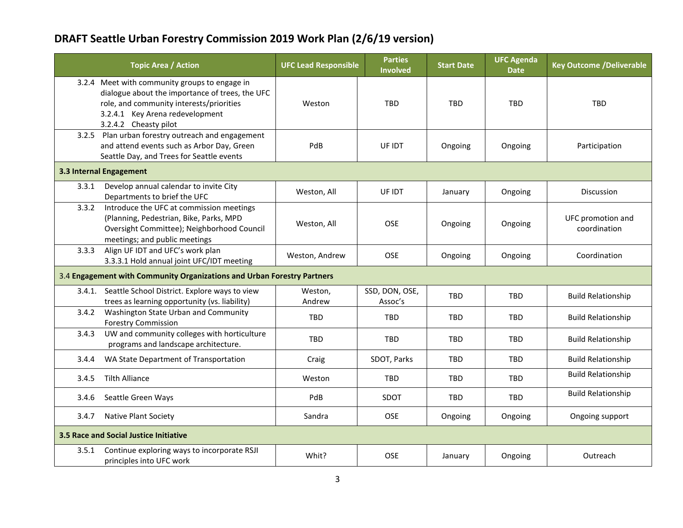| <b>Topic Area / Action</b>                                                                                                                                                                               | <b>UFC Lead Responsible</b> | <b>Parties</b><br><b>Involved</b> | <b>Start Date</b> | <b>UFC Agenda</b><br><b>Date</b> | <b>Key Outcome /Deliverable</b>   |  |  |
|----------------------------------------------------------------------------------------------------------------------------------------------------------------------------------------------------------|-----------------------------|-----------------------------------|-------------------|----------------------------------|-----------------------------------|--|--|
| 3.2.4 Meet with community groups to engage in<br>dialogue about the importance of trees, the UFC<br>role, and community interests/priorities<br>3.2.4.1 Key Arena redevelopment<br>3.2.4.2 Cheasty pilot | Weston                      | <b>TBD</b>                        | <b>TBD</b>        | <b>TBD</b>                       | <b>TBD</b>                        |  |  |
| 3.2.5 Plan urban forestry outreach and engagement<br>and attend events such as Arbor Day, Green<br>Seattle Day, and Trees for Seattle events                                                             | PdB                         | UF IDT                            | Ongoing           | Ongoing                          | Participation                     |  |  |
| 3.3 Internal Engagement                                                                                                                                                                                  |                             |                                   |                   |                                  |                                   |  |  |
| Develop annual calendar to invite City<br>3.3.1<br>Departments to brief the UFC                                                                                                                          | Weston, All                 | UF IDT                            | January           | Ongoing                          | Discussion                        |  |  |
| 3.3.2<br>Introduce the UFC at commission meetings<br>(Planning, Pedestrian, Bike, Parks, MPD<br>Oversight Committee); Neighborhood Council<br>meetings; and public meetings                              | Weston, All                 | <b>OSE</b>                        | Ongoing           | Ongoing                          | UFC promotion and<br>coordination |  |  |
| Align UF IDT and UFC's work plan<br>3.3.3<br>3.3.3.1 Hold annual joint UFC/IDT meeting                                                                                                                   | Weston, Andrew              | <b>OSE</b>                        | Ongoing           | Ongoing                          | Coordination                      |  |  |
| 3.4 Engagement with Community Organizations and Urban Forestry Partners                                                                                                                                  |                             |                                   |                   |                                  |                                   |  |  |
| 3.4.1. Seattle School District. Explore ways to view<br>trees as learning opportunity (vs. liability)                                                                                                    | Weston.<br>Andrew           | SSD, DON, OSE,<br>Assoc's         | <b>TBD</b>        | <b>TBD</b>                       | <b>Build Relationship</b>         |  |  |
| Washington State Urban and Community<br>3.4.2<br><b>Forestry Commission</b>                                                                                                                              | <b>TBD</b>                  | <b>TBD</b>                        | <b>TBD</b>        | <b>TBD</b>                       | <b>Build Relationship</b>         |  |  |
| UW and community colleges with horticulture<br>3.4.3<br>programs and landscape architecture.                                                                                                             | <b>TBD</b>                  | TBD                               | <b>TBD</b>        | <b>TBD</b>                       | <b>Build Relationship</b>         |  |  |
| WA State Department of Transportation<br>3.4.4                                                                                                                                                           | Craig                       | SDOT, Parks                       | <b>TBD</b>        | <b>TBD</b>                       | <b>Build Relationship</b>         |  |  |
| <b>Tilth Alliance</b><br>3.4.5                                                                                                                                                                           | Weston                      | <b>TBD</b>                        | <b>TBD</b>        | <b>TBD</b>                       | <b>Build Relationship</b>         |  |  |
| 3.4.6<br>Seattle Green Ways                                                                                                                                                                              | PdB                         | SDOT                              | TBD               | <b>TBD</b>                       | <b>Build Relationship</b>         |  |  |
| <b>Native Plant Society</b><br>3.4.7                                                                                                                                                                     | Sandra                      | <b>OSE</b>                        | Ongoing           | Ongoing                          | Ongoing support                   |  |  |
| 3.5 Race and Social Justice Initiative                                                                                                                                                                   |                             |                                   |                   |                                  |                                   |  |  |
| 3.5.1<br>Continue exploring ways to incorporate RSJI<br>principles into UFC work                                                                                                                         | Whit?                       | <b>OSE</b>                        | January           | Ongoing                          | Outreach                          |  |  |